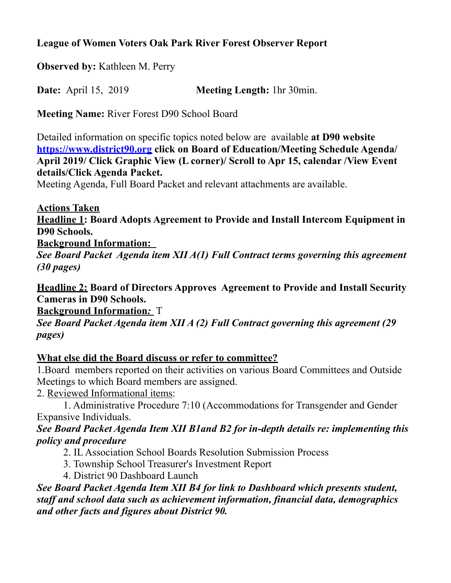# **League of Women Voters Oak Park River Forest Observer Report**

**Observed by:** Kathleen M. Perry

**Date:** April 15, 2019 **Meeting Length:** 1hr 30min.

**Meeting Name:** River Forest D90 School Board

Detailed information on specific topics noted below are available **at D90 website <https://www.district90.org>click on Board of Education/Meeting Schedule Agenda/ April 2019/ Click Graphic View (L corner)/ Scroll to Apr 15, calendar /View Event details/Click Agenda Packet.** 

Meeting Agenda, Full Board Packet and relevant attachments are available.

## **Actions Taken**

**Headline 1: Board Adopts Agreement to Provide and Install Intercom Equipment in D90 Schools.** 

**Background Information:** 

*See Board Packet Agenda item XII A(1) Full Contract terms governing this agreement (30 pages)* 

**Headline 2: Board of Directors Approves Agreement to Provide and Install Security Cameras in D90 Schools.** 

**Background Information***:* T

*See Board Packet Agenda item XII A (2) Full Contract governing this agreement (29 pages)* 

## **What else did the Board discuss or refer to committee?**

1.Board members reported on their activities on various Board Committees and Outside Meetings to which Board members are assigned.

2. Reviewed Informational items:

 1. Administrative Procedure 7:10 (Accommodations for Transgender and Gender Expansive Individuals.

#### *See Board Packet Agenda Item XII B1and B2 for in-depth details re: implementing this policy and procedure*

2. IL Association School Boards Resolution Submission Process

- 3. Township School Treasurer's Investment Report
- 4. District 90 Dashboard Launch

*See Board Packet Agenda Item XII B4 for link to Dashboard which presents student, staff and school data such as achievement information, financial data, demographics and other facts and figures about District 90.*